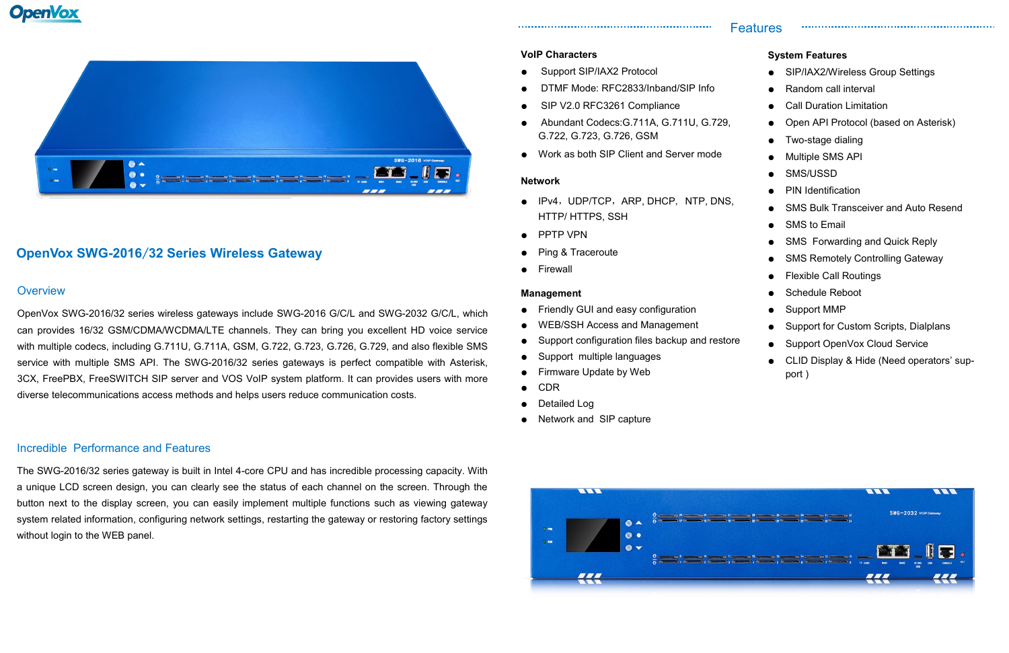

# **OpenVox SWG-2016**/**32 Series Wireless Gateway**

## **Overview**

## Incredible Performance and Features

The SWG-2016/32 series gateway is built in Intel 4-core CPU and has incredible processing capacity. With a unique LCD screen design, you can clearly see the status of each channel on the screen. Through the button next to the display screen, you can easily implement multiple functions such as viewing gateway system related information, configuring network settings, restarting the gateway or restoring factory settings without login to the WEB panel.

- SIP/IAX2/Wireless Group Settings
- Random call interval
- **Call Duration Limitation**
- Open API Protocol (based on Asterisk)
- Two-stage dialing
- **Multiple SMS API**
- SMS/USSD
- PIN Identification
- **SMS Bulk Transceiver and Auto Resend**
- SMS to Email
- SMS Forwarding and Quick Reply
- **SMS Remotely Controlling Gateway**
- **Flexible Call Routings**
- Schedule Reboot
- Support MMP
- **Support for Custom Scripts, Dialplans**
- Support OpenVox Cloud Service
- CLID Display & Hide (Need operators' support )

OpenVox SWG-2016/32 series wireless gateways include SWG-2016 G/C/L and SWG-2032 G/C/L, which can provides 16/32 GSM/CDMA/WCDMA/LTE channels. They can bring you excellent HD voice service with multiple codecs, including G.711U, G.711A, GSM, G.722, G.723, G.726, G.729, and also flexible SMS service with multiple SMS API. The SWG-2016/32 series gateways is perfect compatible with Asterisk, 3CX, FreePBX, FreeSWITCH SIP server and VOS VoIP system platform. It can provides users with more diverse telecommunications access methods and helps users reduce communication costs.

# Features

## **System Features**

## **VoIP Characters**

- Support SIP/IAX2 Protocol
- DTMF Mode: RFC2833/Inband/SIP Info

- SIP V2.0 RFC3261 Compliance
- Abundant Codecs:G.711A, G.711U, G.729, G.722, G.723, G.726, GSM
- Work as both SIP Client and Server mode

#### **Network**

- IPv4, UDP/TCP, ARP, DHCP, NTP, DNS, HTTP/ HTTPS, SSH
- PPTP VPN
- **Ping & Traceroute**
- **Firewall**

#### **Management**

- **Friendly GUI and easy configuration**
- WEB/SSH Access and Management
- Support configuration files backup and restore
- Support multiple languages
- Firmware Update by Web
- CDR
- Detailed Log
- Network and SIP capture